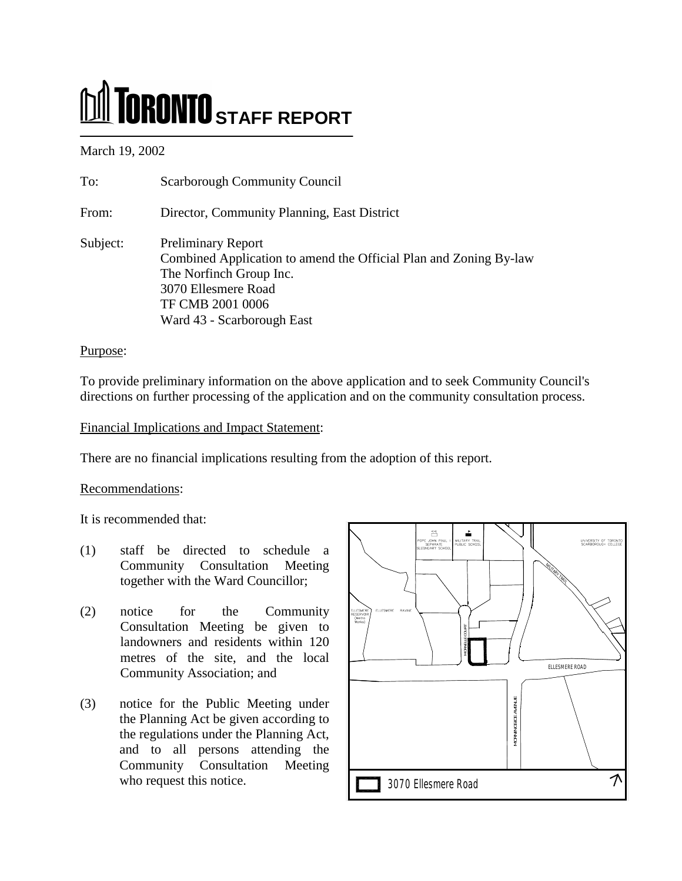# **M** TORONTO STAFF REPORT

March 19, 2002

| To:      | <b>Scarborough Community Council</b>                                                                                                                                                               |
|----------|----------------------------------------------------------------------------------------------------------------------------------------------------------------------------------------------------|
| From:    | Director, Community Planning, East District                                                                                                                                                        |
| Subject: | <b>Preliminary Report</b><br>Combined Application to amend the Official Plan and Zoning By-law<br>The Norfinch Group Inc.<br>3070 Ellesmere Road<br>TF CMB 2001 0006<br>Ward 43 - Scarborough East |

# Purpose:

To provide preliminary information on the above application and to seek Community Council's directions on further processing of the application and on the community consultation process.

# Financial Implications and Impact Statement:

There are no financial implications resulting from the adoption of this report.

# Recommendations:

It is recommended that:

- (1) staff be directed to schedule a Community Consultation Meeting together with the Ward Councillor;
- (2) notice for the Community Consultation Meeting be given to landowners and residents within 120 metres of the site, and the local Community Association; and
- (3) notice for the Public Meeting under the Planning Act be given according to the regulations under the Planning Act, and to all persons attending the Community Consultation Meeting who request this notice.

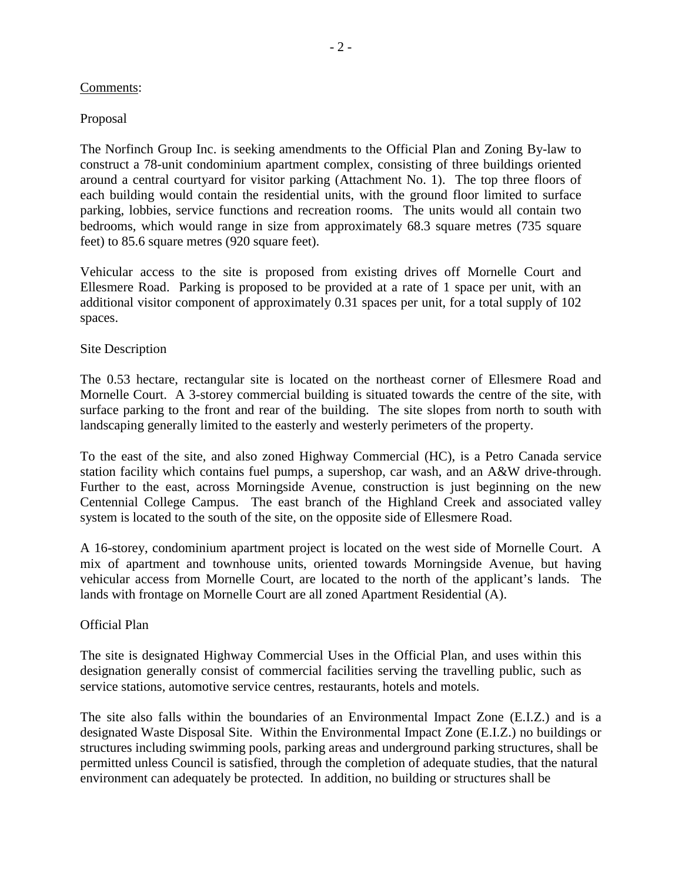#### Comments:

# Proposal

The Norfinch Group Inc. is seeking amendments to the Official Plan and Zoning By-law to construct a 78-unit condominium apartment complex, consisting of three buildings oriented around a central courtyard for visitor parking (Attachment No. 1). The top three floors of each building would contain the residential units, with the ground floor limited to surface parking, lobbies, service functions and recreation rooms. The units would all contain two bedrooms, which would range in size from approximately 68.3 square metres (735 square feet) to 85.6 square metres (920 square feet).

Vehicular access to the site is proposed from existing drives off Mornelle Court and Ellesmere Road. Parking is proposed to be provided at a rate of 1 space per unit, with an additional visitor component of approximately 0.31 spaces per unit, for a total supply of 102 spaces.

## Site Description

The 0.53 hectare, rectangular site is located on the northeast corner of Ellesmere Road and Mornelle Court. A 3-storey commercial building is situated towards the centre of the site, with surface parking to the front and rear of the building. The site slopes from north to south with landscaping generally limited to the easterly and westerly perimeters of the property.

To the east of the site, and also zoned Highway Commercial (HC), is a Petro Canada service station facility which contains fuel pumps, a supershop, car wash, and an A&W drive-through. Further to the east, across Morningside Avenue, construction is just beginning on the new Centennial College Campus. The east branch of the Highland Creek and associated valley system is located to the south of the site, on the opposite side of Ellesmere Road.

A 16-storey, condominium apartment project is located on the west side of Mornelle Court. A mix of apartment and townhouse units, oriented towards Morningside Avenue, but having vehicular access from Mornelle Court, are located to the north of the applicant's lands. The lands with frontage on Mornelle Court are all zoned Apartment Residential (A).

## Official Plan

The site is designated Highway Commercial Uses in the Official Plan, and uses within this designation generally consist of commercial facilities serving the travelling public, such as service stations, automotive service centres, restaurants, hotels and motels.

The site also falls within the boundaries of an Environmental Impact Zone (E.I.Z.) and is a designated Waste Disposal Site. Within the Environmental Impact Zone (E.I.Z.) no buildings or structures including swimming pools, parking areas and underground parking structures, shall be permitted unless Council is satisfied, through the completion of adequate studies, that the natural environment can adequately be protected. In addition, no building or structures shall be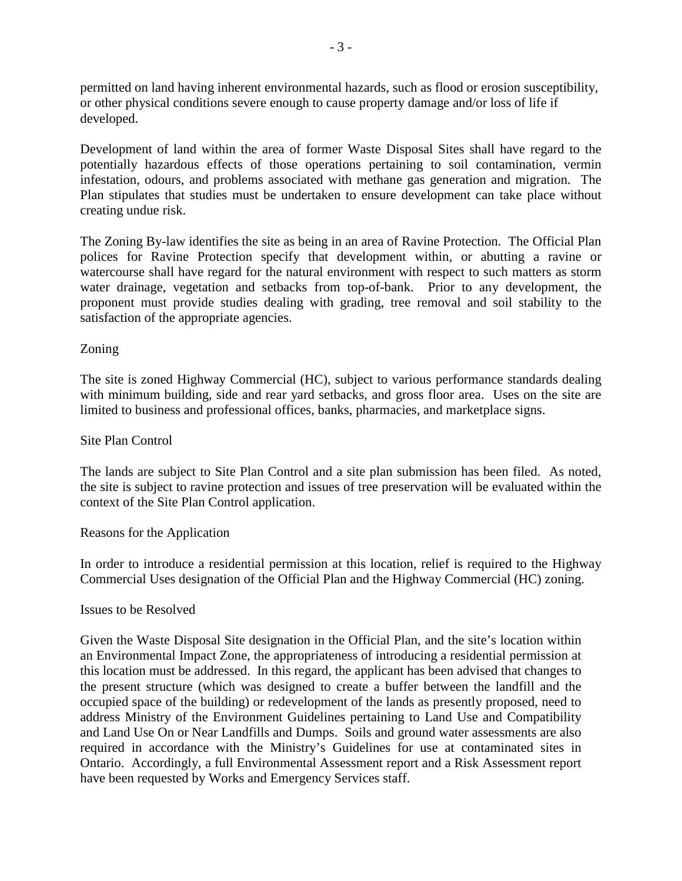permitted on land having inherent environmental hazards, such as flood or erosion susceptibility, or other physical conditions severe enough to cause property damage and/or loss of life if developed.

Development of land within the area of former Waste Disposal Sites shall have regard to the potentially hazardous effects of those operations pertaining to soil contamination, vermin infestation, odours, and problems associated with methane gas generation and migration. The Plan stipulates that studies must be undertaken to ensure development can take place without creating undue risk.

The Zoning By-law identifies the site as being in an area of Ravine Protection. The Official Plan polices for Ravine Protection specify that development within, or abutting a ravine or watercourse shall have regard for the natural environment with respect to such matters as storm water drainage, vegetation and setbacks from top-of-bank. Prior to any development, the proponent must provide studies dealing with grading, tree removal and soil stability to the satisfaction of the appropriate agencies.

# Zoning

The site is zoned Highway Commercial (HC), subject to various performance standards dealing with minimum building, side and rear yard setbacks, and gross floor area. Uses on the site are limited to business and professional offices, banks, pharmacies, and marketplace signs.

## Site Plan Control

The lands are subject to Site Plan Control and a site plan submission has been filed. As noted, the site is subject to ravine protection and issues of tree preservation will be evaluated within the context of the Site Plan Control application.

## Reasons for the Application

In order to introduce a residential permission at this location, relief is required to the Highway Commercial Uses designation of the Official Plan and the Highway Commercial (HC) zoning.

#### Issues to be Resolved

Given the Waste Disposal Site designation in the Official Plan, and the site's location within an Environmental Impact Zone, the appropriateness of introducing a residential permission at this location must be addressed. In this regard, the applicant has been advised that changes to the present structure (which was designed to create a buffer between the landfill and the occupied space of the building) or redevelopment of the lands as presently proposed, need to address Ministry of the Environment Guidelines pertaining to Land Use and Compatibility and Land Use On or Near Landfills and Dumps. Soils and ground water assessments are also required in accordance with the Ministry's Guidelines for use at contaminated sites in Ontario. Accordingly, a full Environmental Assessment report and a Risk Assessment report have been requested by Works and Emergency Services staff.